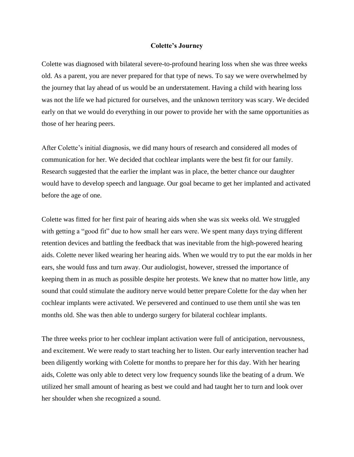## **Colette's Journey**

Colette was diagnosed with bilateral severe-to-profound hearing loss when she was three weeks old. As a parent, you are never prepared for that type of news. To say we were overwhelmed by the journey that lay ahead of us would be an understatement. Having a child with hearing loss was not the life we had pictured for ourselves, and the unknown territory was scary. We decided early on that we would do everything in our power to provide her with the same opportunities as those of her hearing peers.

After Colette's initial diagnosis, we did many hours of research and considered all modes of communication for her. We decided that cochlear implants were the best fit for our family. Research suggested that the earlier the implant was in place, the better chance our daughter would have to develop speech and language. Our goal became to get her implanted and activated before the age of one.

Colette was fitted for her first pair of hearing aids when she was six weeks old. We struggled with getting a "good fit" due to how small her ears were. We spent many days trying different retention devices and battling the feedback that was inevitable from the high-powered hearing aids. Colette never liked wearing her hearing aids. When we would try to put the ear molds in her ears, she would fuss and turn away. Our audiologist, however, stressed the importance of keeping them in as much as possible despite her protests. We knew that no matter how little, any sound that could stimulate the auditory nerve would better prepare Colette for the day when her cochlear implants were activated. We persevered and continued to use them until she was ten months old. She was then able to undergo surgery for bilateral cochlear implants.

The three weeks prior to her cochlear implant activation were full of anticipation, nervousness, and excitement. We were ready to start teaching her to listen. Our early intervention teacher had been diligently working with Colette for months to prepare her for this day. With her hearing aids, Colette was only able to detect very low frequency sounds like the beating of a drum. We utilized her small amount of hearing as best we could and had taught her to turn and look over her shoulder when she recognized a sound.